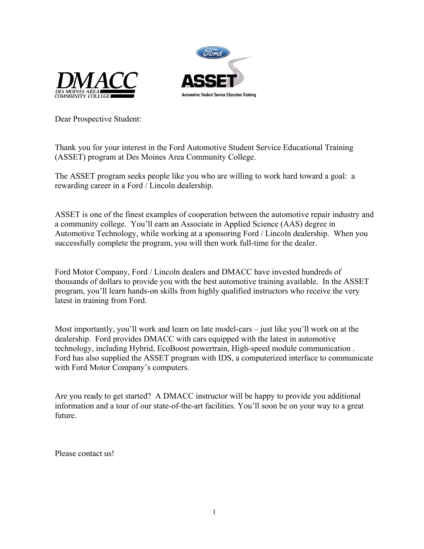



Dear Prospective Student:

Thank you for your interest in the Ford Automotive Student Service Educational Training (ASSET) program at Des Moines Area Community College.

The ASSET program seeks people like you who are willing to work hard toward a goal: a rewarding career in a Ford / Lincoln dealership.

ASSET is one of the finest examples of cooperation between the automotive repair industry and a community college. You'll earn an Associate in Applied Science (AAS) degree in Automotive Technology, while working at a sponsoring Ford / Lincoln dealership. When you successfully complete the program, you will then work full-time for the dealer.

Ford Motor Company, Ford / Lincoln dealers and DMACC have invested hundreds of thousands of dollars to provide you with the best automotive training available. In the ASSET program, you'll learn hands-on skills from highly qualified instructors who receive the very latest in training from Ford.

Most importantly, you'll work and learn on late model-cars – just like you'll work on at the dealership. Ford provides DMACC with cars equipped with the latest in automotive technology, including Hybrid, EcoBoost powertrain, High-speed module communication . Ford has also supplied the ASSET program with IDS, a computerized interface to communicate with Ford Motor Company's computers.

Are you ready to get started? A DMACC instructor will be happy to provide you additional information and a tour of our state-of-the-art facilities. You'll soon be on your way to a great future.

Please contact us!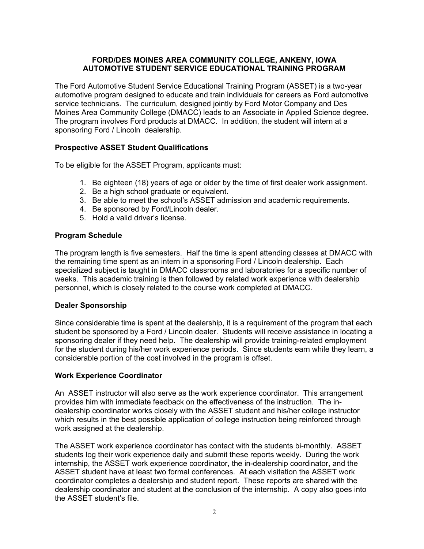#### **FORD/DES MOINES AREA COMMUNITY COLLEGE, ANKENY, IOWA AUTOMOTIVE STUDENT SERVICE EDUCATIONAL TRAINING PROGRAM**

The Ford Automotive Student Service Educational Training Program (ASSET) is a two-year automotive program designed to educate and train individuals for careers as Ford automotive service technicians. The curriculum, designed jointly by Ford Motor Company and Des Moines Area Community College (DMACC) leads to an Associate in Applied Science degree. The program involves Ford products at DMACC. In addition, the student will intern at a sponsoring Ford / Lincoln dealership.

#### **Prospective ASSET Student Qualifications**

To be eligible for the ASSET Program, applicants must:

- 1. Be eighteen (18) years of age or older by the time of first dealer work assignment.
- 2. Be a high school graduate or equivalent.
- 3. Be able to meet the school's ASSET admission and academic requirements.
- 4. Be sponsored by Ford/Lincoln dealer.
- 5. Hold a valid driver's license.

#### **Program Schedule**

The program length is five semesters. Half the time is spent attending classes at DMACC with the remaining time spent as an intern in a sponsoring Ford / Lincoln dealership. Each specialized subject is taught in DMACC classrooms and laboratories for a specific number of weeks. This academic training is then followed by related work experience with dealership personnel, which is closely related to the course work completed at DMACC.

#### **Dealer Sponsorship**

Since considerable time is spent at the dealership, it is a requirement of the program that each student be sponsored by a Ford / Lincoln dealer. Students will receive assistance in locating a sponsoring dealer if they need help. The dealership will provide training-related employment for the student during his/her work experience periods. Since students earn while they learn, a considerable portion of the cost involved in the program is offset.

#### **Work Experience Coordinator**

An ASSET instructor will also serve as the work experience coordinator. This arrangement provides him with immediate feedback on the effectiveness of the instruction. The indealership coordinator works closely with the ASSET student and his/her college instructor which results in the best possible application of college instruction being reinforced through work assigned at the dealership.

The ASSET work experience coordinator has contact with the students bi-monthly. ASSET students log their work experience daily and submit these reports weekly. During the work internship, the ASSET work experience coordinator, the in-dealership coordinator, and the ASSET student have at least two formal conferences. At each visitation the ASSET work coordinator completes a dealership and student report. These reports are shared with the dealership coordinator and student at the conclusion of the internship. A copy also goes into the ASSET student's file.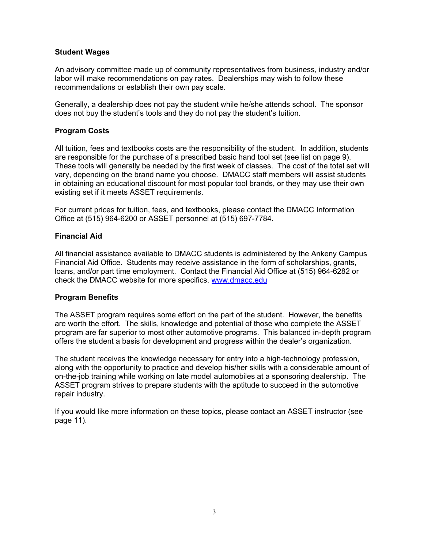#### **Student Wages**

An advisory committee made up of community representatives from business, industry and/or labor will make recommendations on pay rates. Dealerships may wish to follow these recommendations or establish their own pay scale.

Generally, a dealership does not pay the student while he/she attends school. The sponsor does not buy the student's tools and they do not pay the student's tuition.

#### **Program Costs**

All tuition, fees and textbooks costs are the responsibility of the student. In addition, students are responsible for the purchase of a prescribed basic hand tool set (see list on page 9). These tools will generally be needed by the first week of classes. The cost of the total set will vary, depending on the brand name you choose. DMACC staff members will assist students in obtaining an educational discount for most popular tool brands, or they may use their own existing set if it meets ASSET requirements.

For current prices for tuition, fees, and textbooks, please contact the DMACC Information Office at (515) 964-6200 or ASSET personnel at (515) 697-7784.

#### **Financial Aid**

All financial assistance available to DMACC students is administered by the Ankeny Campus Financial Aid Office. Students may receive assistance in the form of scholarships, grants, loans, and/or part time employment. Contact the Financial Aid Office at (515) 964-6282 or check the DMACC website for more specifics. [www.dmacc.edu](http://www.dmacc.edu/)

#### **Program Benefits**

The ASSET program requires some effort on the part of the student. However, the benefits are worth the effort. The skills, knowledge and potential of those who complete the ASSET program are far superior to most other automotive programs. This balanced in-depth program offers the student a basis for development and progress within the dealer's organization.

The student receives the knowledge necessary for entry into a high-technology profession, along with the opportunity to practice and develop his/her skills with a considerable amount of on-the-job training while working on late model automobiles at a sponsoring dealership. The ASSET program strives to prepare students with the aptitude to succeed in the automotive repair industry.

If you would like more information on these topics, please contact an ASSET instructor (see page 11).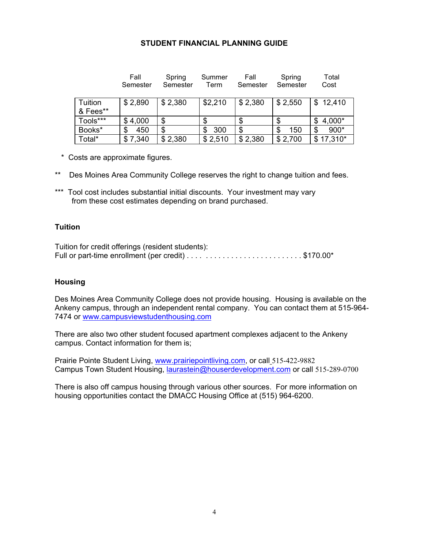#### **STUDENT FINANCIAL PLANNING GUIDE**

|  |                     | Fall<br>Semester | Spring<br>Semester | Summer<br>Term | Fall<br>Semester | Spring<br>Semester | Total<br>Cost |
|--|---------------------|------------------|--------------------|----------------|------------------|--------------------|---------------|
|  | Tuition<br>& Fees** | \$2,890          | \$2,380            | \$2,210        | \$2,380          | \$2,550            | \$12,410      |
|  | Tools***            | \$4,000          | \$                 | S              | \$               |                    | 4,000*<br>S   |
|  | Books*              | 450              | \$                 | 300<br>S       | \$               | 150<br>\$          | 900*<br>S     |
|  | Total*              | \$7,340          | \$2,380            | \$2,510        | \$2,380          | \$2,700            | $$17,310*$    |

- \* Costs are approximate figures.
- \*\* Des Moines Area Community College reserves the right to change tuition and fees.
- \*\*\* Tool cost includes substantial initial discounts. Your investment may vary from these cost estimates depending on brand purchased.

#### **Tuition**

| Tuition for credit offerings (resident students): |  |
|---------------------------------------------------|--|
|                                                   |  |

#### **Housing**

Des Moines Area Community College does not provide housing. Housing is available on the Ankeny campus, through an independent rental company. You can contact them at 515-964- 7474 or [www.campusviewstudenthousing.com](http://www.campusviewstudenthousing.com/)

There are also two other student focused apartment complexes adjacent to the Ankeny campus. Contact information for them is;

Prairie Pointe Student Living, [www.prairiepointliving.com,](http://www.prairiepointliving.com/) or call\_515-422-9882 Campus Town Student Housing, [laurastein@houserdevelopment.com](mailto:laurastein@houserdevelopment.com) or call 515-289-0700

There is also off campus housing through various other sources. For more information on housing opportunities contact the DMACC Housing Office at (515) 964-6200.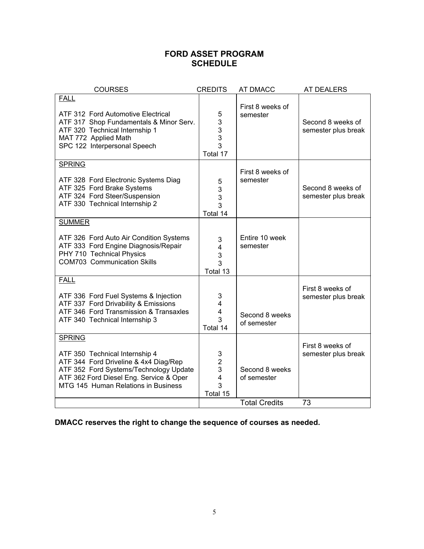## **FORD ASSET PROGRAM SCHEDULE**

| <b>COURSES</b>                                                                                                                                                                                                       | <b>CREDITS</b>                                                       | AT DMACC                      | <b>AT DEALERS</b>                        |
|----------------------------------------------------------------------------------------------------------------------------------------------------------------------------------------------------------------------|----------------------------------------------------------------------|-------------------------------|------------------------------------------|
| <b>FALL</b><br>ATF 312 Ford Automotive Electrical<br>ATF 317 Shop Fundamentals & Minor Serv.<br>ATF 320 Technical Internship 1<br>MAT 772 Applied Math<br>SPC 122 Interpersonal Speech                               | 5<br>3<br>3<br>3<br>3<br>Total 17                                    | First 8 weeks of<br>semester  | Second 8 weeks of<br>semester plus break |
| <b>SPRING</b><br>ATF 328 Ford Electronic Systems Diag<br>ATF 325 Ford Brake Systems<br>ATF 324 Ford Steer/Suspension<br>ATF 330 Technical Internship 2                                                               | 5<br>3<br>3<br>3<br>Total 14                                         | First 8 weeks of<br>semester  | Second 8 weeks of<br>semester plus break |
| <b>SUMMER</b><br>ATF 326 Ford Auto Air Condition Systems<br>ATF 333 Ford Engine Diagnosis/Repair<br>PHY 710 Technical Physics<br><b>COM703 Communication Skills</b>                                                  | 3<br>4<br>3<br>3<br>Total 13                                         | Entire 10 week<br>semester    |                                          |
| <b>FALL</b><br>ATF 336 Ford Fuel Systems & Injection<br>ATF 337 Ford Drivability & Emissions<br>ATF 346 Ford Transmission & Transaxles<br>ATF 340 Technical Internship 3                                             | 3<br>4<br>4<br>3<br>Total 14                                         | Second 8 weeks<br>of semester | First 8 weeks of<br>semester plus break  |
| <b>SPRING</b><br>ATF 350 Technical Internship 4<br>ATF 344 Ford Driveline & 4x4 Diag/Rep<br>ATF 352 Ford Systems/Technology Update<br>ATF 362 Ford Diesel Eng. Service & Oper<br>MTG 145 Human Relations in Business | 3<br>$\overline{2}$<br>3<br>$\overline{\mathbf{4}}$<br>3<br>Total 15 | Second 8 weeks<br>of semester | First 8 weeks of<br>semester plus break  |
|                                                                                                                                                                                                                      |                                                                      | <b>Total Credits</b>          | 73                                       |

**DMACC reserves the right to change the sequence of courses as needed.**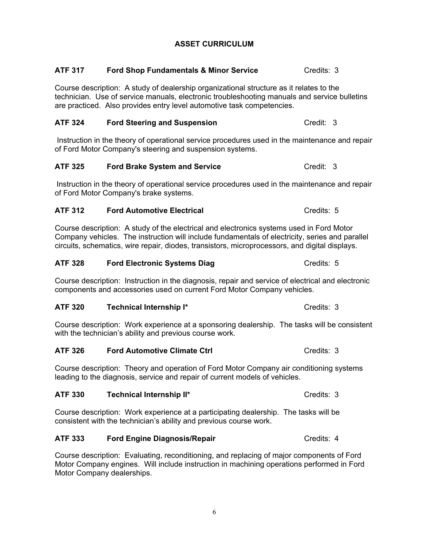### **ASSET CURRICULUM**

**ATF 317 Ford Shop Fundamentals & Minor Service Credits: 3** 

# Course description: A study of dealership organizational structure as it relates to the technician. Use of service manuals, electronic troubleshooting manuals and service bulletins are practiced. Also provides entry level automotive task competencies. **ATF 324 Ford Steering and Suspension** Credit: 3 Instruction in the theory of operational service procedures used in the maintenance and repair of Ford Motor Company's steering and suspension systems. **ATF** 325 **Ford Brake System and Service** Credit: 3 Instruction in the theory of operational service procedures used in the maintenance and repair of Ford Motor Company's brake systems.

# **ATF 312 Ford Automotive Electrical Credits: 5 Credits: 5**

Course description: A study of the electrical and electronics systems used in Ford Motor Company vehicles. The instruction will include fundamentals of electricity, series and parallel circuits, schematics, wire repair, diodes, transistors, microprocessors, and digital displays.

## **ATF 328 Ford Electronic Systems Diag Credits: 5 Credits: 5**

Course description: Instruction in the diagnosis, repair and service of electrical and electronic components and accessories used on current Ford Motor Company vehicles.

## **ATF 320 Technical Internship I\*** Credits: 3

Course description: Work experience at a sponsoring dealership. The tasks will be consistent with the technician's ability and previous course work.

## ATF 326 **Ford Automotive Climate Ctrl Credits: 3** Credits: 3

Course description: Theory and operation of Ford Motor Company air conditioning systems leading to the diagnosis, service and repair of current models of vehicles.

## **ATF** 330 **Technical Internship II\*** Credits: 3

Course description: Work experience at a participating dealership. The tasks will be consistent with the technician's ability and previous course work.

# ATF 333 **Ford Engine Diagnosis/Repair** Manuscriptum Credits: 4

Course description: Evaluating, reconditioning, and replacing of major components of Ford Motor Company engines. Will include instruction in machining operations performed in Ford Motor Company dealerships.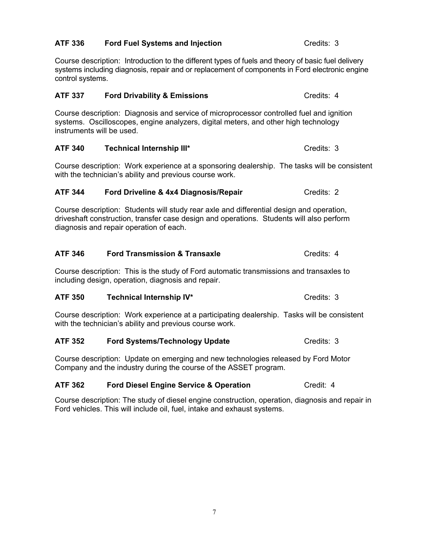#### **ATF 336 Ford Fuel Systems and Injection** Credits: 3

Course description: Introduction to the different types of fuels and theory of basic fuel delivery systems including diagnosis, repair and or replacement of components in Ford electronic engine control systems.

#### **ATF 337 Ford Drivability & Emissions** Credits: 4

Course description: Diagnosis and service of microprocessor controlled fuel and ignition systems. Oscilloscopes, engine analyzers, digital meters, and other high technology instruments will be used.

#### ATF 340 Technical Internship III\* Credits: 3

Course description: Work experience at a sponsoring dealership. The tasks will be consistent with the technician's ability and previous course work.

#### **ATF 344 •• Ford Driveline & 4x4 Diagnosis/Repair** Credits: 2

Course description: Students will study rear axle and differential design and operation, driveshaft construction, transfer case design and operations. Students will also perform diagnosis and repair operation of each.

#### **ATF** 346 **Ford Transmission & Transaxle Credits: 4** Credits: 4

Course description: This is the study of Ford automatic transmissions and transaxles to including design, operation, diagnosis and repair.

#### ATF 350 Technical Internship IV\* Credits: 3

Course description: Work experience at a participating dealership. Tasks will be consistent with the technician's ability and previous course work.

#### **ATF** 352 **Ford Systems/Technology Update Credits: 3**

Course description: Update on emerging and new technologies released by Ford Motor Company and the industry during the course of the ASSET program.

#### **ATF 362 •• Ford Diesel Engine Service & Operation** Credit: 4

Course description: The study of diesel engine construction, operation, diagnosis and repair in Ford vehicles. This will include oil, fuel, intake and exhaust systems.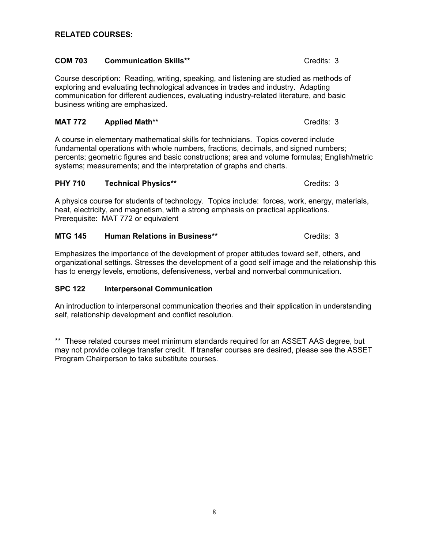#### **COM 703 Communication Skills\*\*** Credits: 3

#### Course description: Reading, writing, speaking, and listening are studied as methods of exploring and evaluating technological advances in trades and industry. Adapting communication for different audiences, evaluating industry-related literature, and basic business writing are emphasized.

#### **MAT 772** Applied Math<sup>\*\*</sup> Credits: 3

A course in elementary mathematical skills for technicians. Topics covered include fundamental operations with whole numbers, fractions, decimals, and signed numbers; percents; geometric figures and basic constructions; area and volume formulas; English/metric systems; measurements; and the interpretation of graphs and charts.

#### **PHY 710 Technical Physics\*\*** Credits: 3

A physics course for students of technology. Topics include: forces, work, energy, materials, heat, electricity, and magnetism, with a strong emphasis on practical applications. Prerequisite: MAT 772 or equivalent

#### **MTG 145 Human Relations in Business\*\*** Credits: 3

Emphasizes the importance of the development of proper attitudes toward self, others, and organizational settings. Stresses the development of a good self image and the relationship this has to energy levels, emotions, defensiveness, verbal and nonverbal communication.

#### **SPC 122 Interpersonal Communication**

An introduction to interpersonal communication theories and their application in understanding self, relationship development and conflict resolution.

\*\* These related courses meet minimum standards required for an ASSET AAS degree, but may not provide college transfer credit. If transfer courses are desired, please see the ASSET Program Chairperson to take substitute courses.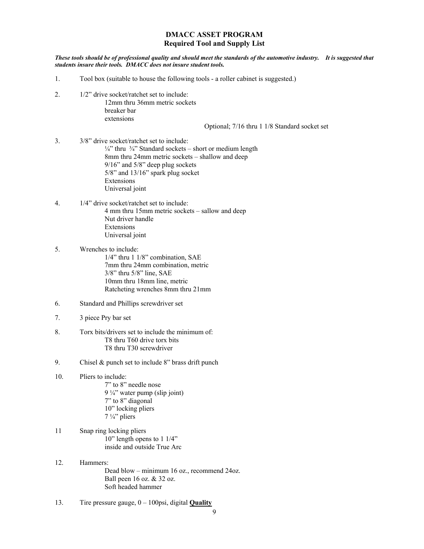#### **DMACC ASSET PROGRAM Required Tool and Supply List**

*These tools should be of professional quality and should meet the standards of the automotive industry. It is suggested that students insure their tools. DMACC does not insure student tools.* 

- 1. Tool box (suitable to house the following tools a roller cabinet is suggested.)
- 2. 1/2" drive socket/ratchet set to include: 12mm thru 36mm metric sockets breaker bar extensions

Optional; 7/16 thru 1 1/8 Standard socket set

- 3. 3/8" drive socket/ratchet set to include:  $\frac{1}{4}$ " thru  $\frac{3}{4}$ " Standard sockets – short or medium length 8mm thru 24mm metric sockets – shallow and deep 9/16" and 5/8" deep plug sockets 5/8" and 13/16" spark plug socket Extensions Universal joint
- 4. 1/4" drive socket/ratchet set to include: 4 mm thru 15mm metric sockets – sallow and deep Nut driver handle Extensions Universal joint
- 5. Wrenches to include: 1/4" thru 1 1/8" combination, SAE 7mm thru 24mm combination, metric 3/8" thru 5/8" line, SAE 10mm thru 18mm line, metric Ratcheting wrenches 8mm thru 21mm
- 6. Standard and Phillips screwdriver set
- 7. 3 piece Pry bar set
- 8. Torx bits/drivers set to include the minimum of: T8 thru T60 drive torx bits T8 thru T30 screwdriver
- 9. Chisel & punch set to include 8" brass drift punch
- 10. Pliers to include: 7" to 8" needle nose 9 ¼" water pump (slip joint) 7" to 8" diagonal 10" locking pliers 7 ¼" pliers
- 11 Snap ring locking pliers 10" length opens to 1 1/4" inside and outside True Arc
- 12. Hammers: Dead blow – minimum 16 oz., recommend 24oz. Ball peen 16 oz. & 32 oz. Soft headed hammer
- 13. Tire pressure gauge, 0 100psi, digital **Quality**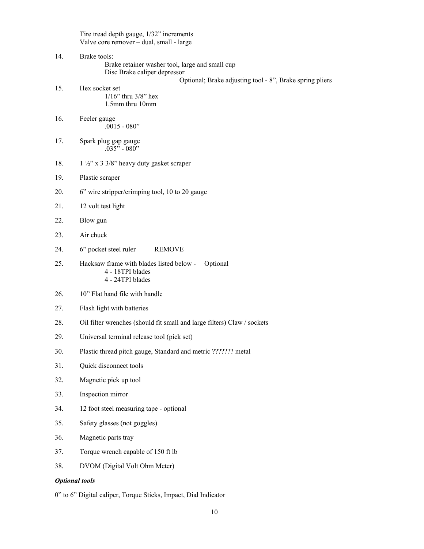Tire tread depth gauge, 1/32" increments Valve core remover – dual, small - large

| 14.                   | Brake tools:<br>Brake retainer washer tool, large and small cup<br>Disc Brake caliper depressor |  |
|-----------------------|-------------------------------------------------------------------------------------------------|--|
|                       | Optional; Brake adjusting tool - 8", Brake spring pliers                                        |  |
| 15.                   | Hex socket set<br>$1/16$ " thru $3/8$ " hex<br>1.5mm thru 10mm                                  |  |
| 16.                   | Feeler gauge<br>$.0015 - 080"$                                                                  |  |
| 17.                   | Spark plug gap gauge<br>$.035" - 080"$                                                          |  |
| 18.                   | $1\frac{1}{2}$ " x 3 3/8" heavy duty gasket scraper                                             |  |
| 19.                   | Plastic scraper                                                                                 |  |
| 20.                   | 6" wire stripper/crimping tool, 10 to 20 gauge                                                  |  |
| 21.                   | 12 volt test light                                                                              |  |
| 22.                   | Blow gun                                                                                        |  |
| 23.                   | Air chuck                                                                                       |  |
| 24.                   | 6" pocket steel ruler<br><b>REMOVE</b>                                                          |  |
| 25.                   | Hacksaw frame with blades listed below -<br>Optional<br>4 - 18TPI blades<br>4 - 24TPI blades    |  |
| 26.                   | 10" Flat hand file with handle                                                                  |  |
| 27.                   | Flash light with batteries                                                                      |  |
| 28.                   | Oil filter wrenches (should fit small and large filters) Claw / sockets                         |  |
| 29.                   | Universal terminal release tool (pick set)                                                      |  |
| 30.                   | Plastic thread pitch gauge, Standard and metric ??????? metal                                   |  |
| 31.                   | Quick disconnect tools                                                                          |  |
| 32.                   | Magnetic pick up tool                                                                           |  |
| 33.                   | Inspection mirror                                                                               |  |
| 34.                   | 12 foot steel measuring tape - optional                                                         |  |
| 35.                   | Safety glasses (not goggles)                                                                    |  |
| 36.                   | Magnetic parts tray                                                                             |  |
| 37.                   | Torque wrench capable of 150 ft lb                                                              |  |
| 38.                   | DVOM (Digital Volt Ohm Meter)                                                                   |  |
| <b>Optional tools</b> |                                                                                                 |  |

0" to 6" Digital caliper, Torque Sticks, Impact, Dial Indicator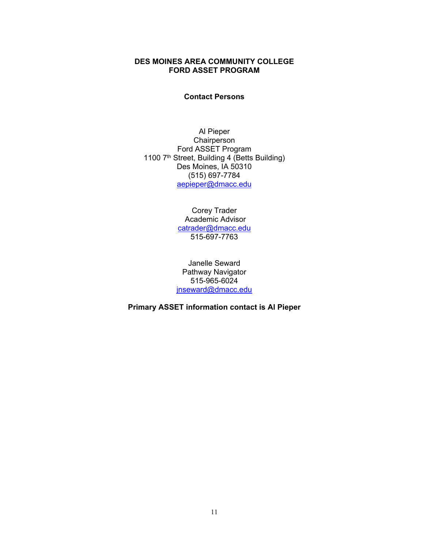#### **DES MOINES AREA COMMUNITY COLLEGE FORD ASSET PROGRAM**

#### **Contact Persons**

Al Pieper **Chairperson** Ford ASSET Program 1100 7<sup>th</sup> Street, Building 4 (Betts Building) Des Moines, IA 50310 (515) 697-7784 [aepieper@dmacc.edu](mailto:aepieper@dmacc.edu)

> Corey Trader Academic Advisor [catrader@dmacc.edu](mailto:catrader@dmacc.edu) 515-697-7763

Janelle Seward Pathway Navigator 515-965-6024 [jnseward@dmacc.edu](mailto:jnseward@dmacc.edu)

**Primary ASSET information contact is Al Pieper**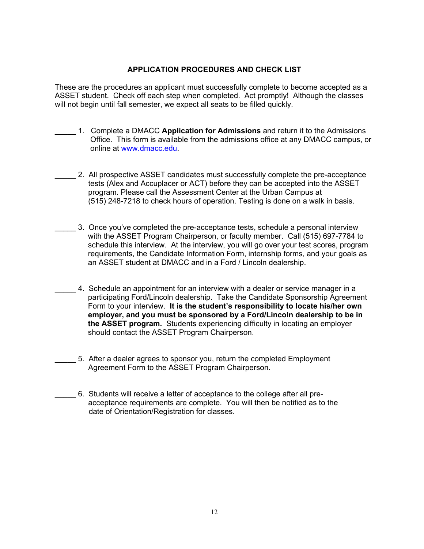#### **APPLICATION PROCEDURES AND CHECK LIST**

These are the procedures an applicant must successfully complete to become accepted as a ASSET student. Check off each step when completed. Act promptly! Although the classes will not begin until fall semester, we expect all seats to be filled quickly.

- \_\_\_\_\_ 1. Complete a DMACC **Application for Admissions** and return it to the Admissions Office. This form is available from the admissions office at any DMACC campus, or online at [www.dmacc.edu.](http://www.dmacc.edu/)
- 2. All prospective ASSET candidates must successfully complete the pre-acceptance tests (Alex and Accuplacer or ACT) before they can be accepted into the ASSET program. Please call the Assessment Center at the Urban Campus at (515) 248-7218 to check hours of operation. Testing is done on a walk in basis.
	- \_\_\_\_\_ 3. Once you've completed the pre-acceptance tests, schedule a personal interview with the ASSET Program Chairperson, or faculty member. Call (515) 697-7784 to schedule this interview. At the interview, you will go over your test scores, program requirements, the Candidate Information Form, internship forms, and your goals as an ASSET student at DMACC and in a Ford / Lincoln dealership.
	- \_\_\_\_\_ 4. Schedule an appointment for an interview with a dealer or service manager in a participating Ford/Lincoln dealership. Take the Candidate Sponsorship Agreement Form to your interview. **It is the student's responsibility to locate his/her own employer, and you must be sponsored by a Ford/Lincoln dealership to be in the ASSET program.** Students experiencing difficulty in locating an employer should contact the ASSET Program Chairperson.
- 5. After a dealer agrees to sponsor you, return the completed Employment Agreement Form to the ASSET Program Chairperson.
	- \_\_\_\_\_ 6. Students will receive a letter of acceptance to the college after all pre acceptance requirements are complete. You will then be notified as to the date of Orientation/Registration for classes.